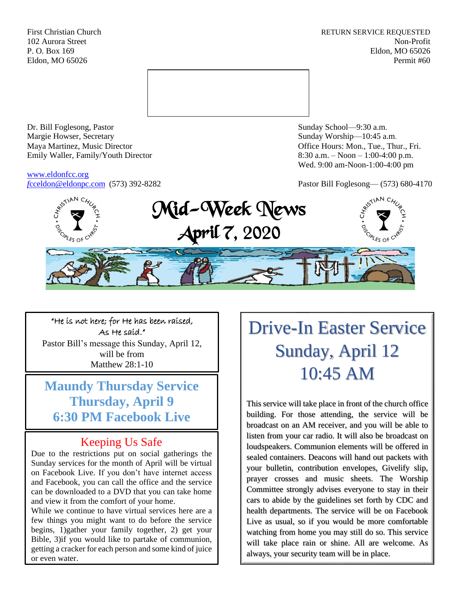First Christian Church **RETURN SERVICE REQUESTED** 102 Aurora Street Non-Profit P. O. Box 169 Eldon, MO 65026 Eldon, MO 65026 Permit #60



Dr. Bill Foglesong, Pastor Sunday School—9:30 a.m. Margie Howser, Secretary Sunday Worship—10:45 a.m. Maya Martinez, Music Director Office Hours: Mon., Tue., Thur., Fri. Emily Waller, Family/Youth Director 8:30 a.m. – Noon – 1:00-4:00 p.m.

[www.eldonfcc.org](http://www.eldonfcc.org/)

Wed. 9:00 am-Noon-1:00-4:00 pm

*f*[cceldon@eldonpc.com](mailto:fcceldon@eldonpc.com) (573) 392-8282 Pastor Bill Foglesong— (573) 680-4170



"He is not here; for He has been raised, As He said." Pastor Bill's message this Sunday, April 12, will be from Matthew 28:1-10

**Maundy Thursday Service Thursday, April 9 6:30 PM Facebook Live**

# Keeping Us Safe

Due to the restrictions put on social gatherings the Sunday services for the month of April will be virtual on Facebook Live. If you don't have internet access and Facebook, you can call the office and the service can be downloaded to a DVD that you can take home and view it from the comfort of your home.

While we continue to have virtual services here are a few things you might want to do before the service begins, 1)gather your family together, 2) get your Bible, 3)if you would like to partake of communion, getting a cracker for each person and some kind of juice or even water.

Drive-In Easter Service Sunday, April 12 10:45 AM

This service will take place in front of the church office building. For those attending, the service will be broadcast on an AM receiver, and you will be able to listen from your car radio. It will also be broadcast on loudspeakers. Communion elements will be offered in sealed containers. Deacons will hand out packets with your bulletin, contribution envelopes, Givelify slip, prayer crosses and music sheets. The Worship Committee strongly advises everyone to stay in their cars to abide by the guidelines set forth by CDC and health departments. The service will be on Facebook Live as usual, so if you would be more comfortable watching from home you may still do so. This service will take place rain or shine. All are welcome. As always, your security team will be in place.